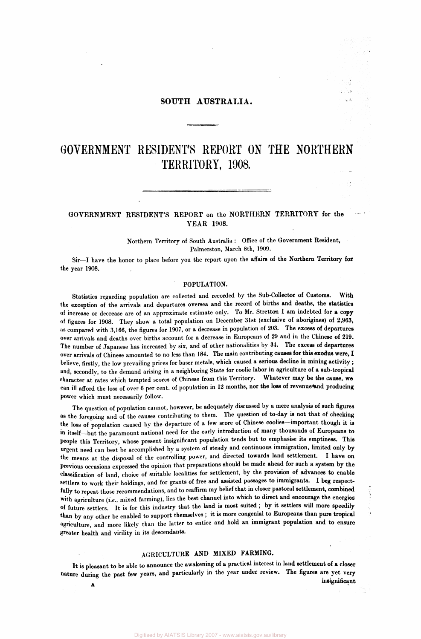# **SOUTH AUSTRALIA.**

# **GOVERNMENT RESIDENT'S REPORT ON THE NORTHERN TERRITORY, 1908.**

# **GOVERNMENT RESIDENT'S REPORT on the NORTHERN TERRITORY for the YEAR 1908.**

Northern Territory of South Australia : Office of the Government Resident, Palmerston, March 8th, 1909.

Sir—I have the honor to place before you the report upon the affaire of the Northern Territory **for**  the year 1908.

## **POPULATION.**

Statistics regarding population are collected and recorded by the Sub-Collector of Customs. With the exception of the arrivals and departures oversea and the record of births **and** deaths, the **statistics**  of increase or decrease are of an approximate estimate only. To Mr. Stretton I **am** indebted for **a copy**  of figures for 1908. They show a total population on December 31st (exclusive of aborigines) of 2,963, as compared with 3,166, the figures for 1907, or a decrease in population of 203. The excess of departures over arrivals and deaths over births account for a decrease in Europeans of 29 **and** in the Chinese of **219.**  The number of Japanese has increased by six, and of other nationalities by 34. **The** excess **of departures**  over arrivals of Chinese amounted to no less than 184. The main contributing **causes for this exodus were, 1**  believe, firstly, the low prevailing prices for baser metals, which caused a serious decline in mining activity ; and, secondly, to the demand arising in a neighboring State for coolie labor in agriculture of **a** sub-tropical character at rates which tempted scores of Chinese from this Territory. Whatever may **be the cause, we**  can ill afford the loss of over 6 per cent, of population in 12 months, nor the loss of revenue and producing power which must necessarily follow.

The question of population cannot, however, be adequately discussed by a mere analysis of such figures as the foregoing and of the causes contributing to them. The question of to-day is not that of checking the loss of population caused by the departure of **a** few score of Chinese coolies—important though it is in itself—but the paramount national need for the early introduction of many thousands of Europeans to people this Territory, whose present insignificant population tends but to emphasise its emptiness. This urgent need can best be accomplished by a system of steady and continuous immigration, limited only **by**  the means at the disposal of the controlling power, and directed towards land settlement. I have on previous occasions expressed the opinion that preparations should be made ahead for such **a** system **by** the classification of land, choice of suitable localities for settlement, by the provision of advances to enable settlers to work their holdings, and for grants of free and assisted passages **to immigrants. I beg** respectfully to repeat those recommendations, and to reaffirm my belief that in closer **pastoral settlement, combined**  with agriculture (i.e., mixed farming), lies the best channel into which to direct and encourage the energies of future settlers. It is for this industry that the land is most suited ; **by it settlers will** more speedily than by any other be enabled to support themselves ; it is more congenial to Europeans than pure tropical agriculture, and more likely than the latter to entice and hold an immigrant population and to ensure greater health and virility in its descendants.

# AGRICULTURE **AND MIXED FARMING.**

**It** is pleasant to be able to announce the awakening of **a** practical interest in land settlement of **a** closer nature during the past few years, and particularly in the year under review. The figures are yet very **insignificant**   $\hat{\mathbf{A}}$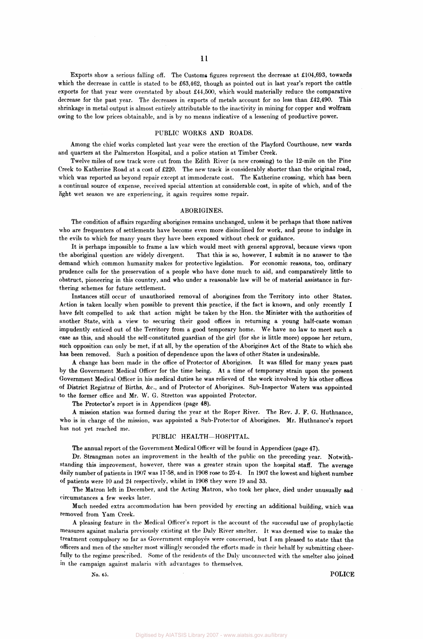Exports show a serious falling off. The Customs figures represent the decrease at £104,693, towards which the decrease in cattle is stated to be £63,462, though as pointed out in last year's report the cattle exports for that year were overstated by about £44,500, which would materially reduce the comparative decrease for the past year. The decreases in exports of metals account for no less than £42,490. This shrinkage in metal output is almost entirely attributable to the inactivity in mining for copper and wolfram owing to the low prices obtainable, and is by no means indicative of a lessening of productive power.

## PUBLIC WORKS AND ROADS.

Among the chief works completed last year were the erection of the Playford Courthouse, new wards and quarters at the Palmerston Hospital, and a police station at Timber Creek.

Twelve miles of new track were cut from the Edith River (a new crossing) to the 12-mile on the Pine Creek to Katherine Road at a cost of £220. The new track is considerably shorter than the original road, which was reported as beyond repair except at immoderate cost. The Katherine crossing, which has been a continual source of expense, received special attention at considerable cost, in spite of which, and of the light wet season we are experiencing, it again requires some repair.

#### ABORIGINES.

The condition of affairs regarding aborigines remains unchanged, unless it be perhaps that those natives who are frequenters of settlements have become even more disinclined for work, and prone to indulge in the evils to which for many years they have been exposed without check or guidance.

It is perhaps impossible to frame a law which would meet with general approval, because views upon the aboriginal question are widely divergent. That this is so, however, I submit is no answer to the demand which common humanity makes for protective legislation. For economic reasons, too, ordinary prudence calls for the preservation of a people who have done much to aid, and comparatively little to obstruct, pioneering in this country, and who under a reasonable law will be of material assistance in furthering schemes for future settlement.

Instances still occur of unauthorised removal of aborigines from the Territory into other States. Action is taken locally when possible to prevent this practice, if the fact is known, and only recently I have felt compelled to ask that action might be taken by the Hon. the Minister with the authorities of another State, with a view to securing their good offices in returning a young half-caste woman impudently enticed out of the Territory from a good temporary home. We have no law to meet such a case as this, and should the self-constituted guardian of the girl (for she is little more) oppose her return, such opposition can only be met, if at all, by the operation of the Aborigines Act of the State to which she has been removed. Such a position of dependence upon the laws of other States is undesirable.

A change has been made in the office of Protector of Aborigines. It was filled for many years past by the Government Medical Officer for the time being. At a time of temporary strain upon the present Government Medical Officer in his medical duties he was relieved of the work involved by his other offices of District Registrar of Births, &c, and of Protector of Aborigines. Sub-Inspector Waters was appointed to the former office and Mr. W. G. Stretton was appointed Protector.

The Protector's report is in Appendices (page 48).

A mission station was formed during the year at the Roper River. The Rev. J. F. G. Huthnance, who is in charge of the mission, was appointed a Sub-Protector of Aborigines. Mr. Huthnance's report has not yet reached me.

## PUBLIC HEALTH—HOSPITAL.

The annual report of the Government Medical Officer will be found in Appendices (page 47).

Dr. Strangman notes an improvement in the health of the public on the preceding year. Notwithstanding this improvement, however, there was a greater strain upon the hospital staff. The average daily number of patients in 1907 was 17-58, and in 1908 rose to 25-4. In 1907 the lowest and highest number of patients were 10 and 24 respectively, whilst in 1908 they were 19 and 33.

The Matron left in December, and the Acting Matron, who took her place, died under unusually sad circumstances a few weeks later.

Much needed extra accommodation has been provided by erecting an additional building, which was removed from Yam Creek.

A pleasing feature in the Medical Officer's report is the account of the successful use of prophylactic measures against malaria previously existing at the Daly River smelter. It was deemed wise to make the treatment compulsory so far as Government employes were concerned, but I am pleased to state that the officers and men of the smelter most willingly seconded the efforts made in their behalf by submitting cheerfully to the regime prescribed. Some of the residents of the Daly unconnected with the smelter also joined in the campaign against malaria with advantages to themselves.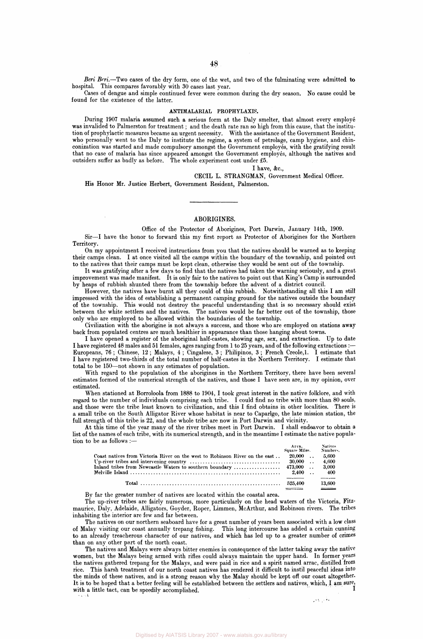*Beri Beri.*—Two cases of the dry form, one of the wet, and two of the fulminating were admitted to hospital. This compares favorably with 30 cases last year.

Cases of dengue and simple continued fever were common during the dry season. No cause could be found for the existence of the latter.

#### **ANTIMALARIAL PROPHYLAXIS.**

During 1907 malaria assumed such a serious form at the Daly smelter, that almost every employe was invalided to Palmerston for treatment; and the death rate ran so high from this cause, that the institution of prophylactic measures became an urgent necessity. With the assistance of the Government Resident, who personally went to the Daly to institute the regime, a system of petrolage, camp hygiene, and chinconization was started and made compulsory amongst the Government employes, with the gratifying result that no case of malaria has since appeared amongst the Government employes, although the natives and outsiders suffer as badly as before. The whole experiment cost under £5.

## I have, &c,

CECIL L. STRANGMAN, Government Medical Officer. His Honor Mr. Justice Herbert, Government Resident, Palmerston.

#### ABORIGINES.

Office of the Protector of Aborigines, Port Darwin, January 14th, 1909. Sir—I have the honor to forward this my first report as Protector of Aborigines for the Northern Territory.

On my appointment I received instructions from you that the natives should be warned as to keeping their camps clean. I at once visited all the camps within the boundary of the township, and pointed out to the natives that their camps must be kept clean, otherwise they would be sent out of the township.

It was gratifying after a few days to find that the natives had taken the warning seriously, and a great improvement was made manifest. It is only fair to the natives to point out that King's Camp is surrounded by heaps of rubbish shunted there from the township before the advent of a district council.

However, the natives have burnt all they could of this rubbish. Notwithstanding all this I am still impressed with the idea of establishing a permanent camping ground for the natives outside the boundary of the township. This would not destroy the peaceful understanding that is so necessary should exist between the white settlers and the natives. The natives would be far better out of the township, those only who are employed to be allowed within the boundaries of the township.

Civilization with the aborigine is not always a success, and those who are employed on stations away back from populated centres are much healthier in appearance than those hanging about towns.

I have opened a register of the aboriginal half-castes, showing age, sex, and extraction. Up to date I have registered 48 males and 51 females, ages ranging from 1 to 25 years, and of the following extractions :— Europeans, 76 ; Chinese, 12 ; Malays, 4 ; Cingalese, 3 ; Philipinos, 3 ; French Creole, 1. I estimate that I have registered two-thirds of the total number of half-castes in the Northern Territory. I estimate that total to be 150—not shown in any estimates of population.

With regard to the population of the aborigines in the Northern Territory, there have been several estimates formed of the numerical strength of the natives, and those I have seen are, in my opinion, over estimated.

When stationed at Borroloola from 1888 to 1904, I took great interest in the native folklore, and with regard to the number of individuals comprising each tribe. I could find no tribe with more than 80 souls, and those were the tribe least known to civilization, and this I find obtains in other localities. There is a small tribe on the South Alligator River whose habitat is near to Caparlgo, the late mission station, the full strength of this tribe is 22, and the whole tribe are now in Port Darwin and vicinity.

At this time of the year many of the river tribes meet in Port Darwin. I shall endeavor to obtain a list of the names of each tribe, with its numerical strength, and in the meantime I estimate the native population to be as follows :— Area. Natives

|                                                                                                                                       |                 | .<br>Square Miles. Numbers. |         |
|---------------------------------------------------------------------------------------------------------------------------------------|-----------------|-----------------------------|---------|
| Coast natives from Victoria River on the west to Robinson River on the east 20,000                                                    |                 |                             | - 5.600 |
| Up-river tribes and intervening country $\ldots \ldots \ldots \ldots \ldots \ldots \ldots \ldots \ldots \ldots$ 30,000 $\ldots$ 4,600 |                 |                             |         |
|                                                                                                                                       |                 |                             |         |
|                                                                                                                                       | $2.400$ . $400$ |                             |         |
|                                                                                                                                       |                 |                             | 13.600  |

By far the greater number of natives are located within the coastal area.

**L** 

The up-river tribes are fairly numerous, more particularly on the head waters of the Victoria, Fitzmaurice, Daly, Adelaide, Alligators, Goyder, Roper, Limmen, McArthur, and Robinson rivers. The tribes inhabiting the interior are few and far between.

The natives on our northern seaboard have for a great number of years been associated with a low class of Malay visiting our coast annually trepang fishing. This long intercourse has added a certain cunning to an already treacherous character of our natives, and which has led up to a greater number of crimes than on any other part of the north coast.

The natives and Malays were always bitter enemies in consequence of the latter taking away the native women, but the Malays being armed with rifles could always maintain the upper hand. In former years the natives gathered trepang for the Malays, and were paid in rice and a spirit named arrac, distilled from rice. This harsh treatment of our north coast natives has rendered it difficult to instil peaceful ideas into the minds of these natives, and is a strong reason why the Malay should be kept off our coast altogether. It is to be hoped that a better feeling will be established between the settlers and natives, which, I am sure, with a little tact, can be speedily accomplished.  $\blacksquare$ 

جعام المجر

**48**